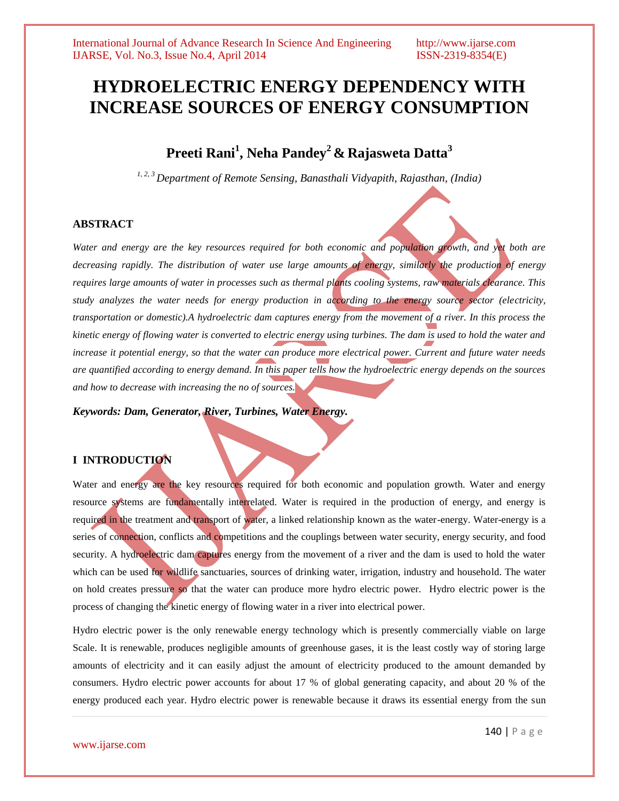# **HYDROELECTRIC ENERGY DEPENDENCY WITH INCREASE SOURCES OF ENERGY CONSUMPTION**

# **Preeti Rani<sup>1</sup> , Neha Pandey<sup>2</sup>& Rajasweta Datta<sup>3</sup>**

*1, 2, 3 Department of Remote Sensing, Banasthali Vidyapith, Rajasthan, (India)*

### **ABSTRACT**

*Water and energy are the key resources required for both economic and population growth, and yet both are*  decreasing rapidly. The distribution of water use large amounts of energy, similarly the production of energy *requires large amounts of water in processes such as thermal plants cooling systems, raw materials clearance. This study analyzes the water needs for energy production in according to the energy source sector (electricity, transportation or domestic).A hydroelectric dam captures energy from the movement of a river. In this process the kinetic energy of flowing water is converted to electric energy using turbines. The dam is used to hold the water and increase it potential energy, so that the water can produce more electrical power. Current and future water needs are quantified according to energy demand. In this paper tells how the hydroelectric energy depends on the sources and how to decrease with increasing the no of sources.* 

*Keywords: Dam, Generator, River, Turbines, Water Energy.*

### **I INTRODUCTION**

Water and energy are the key resources required for both economic and population growth. Water and energy resource systems are fundamentally interrelated. Water is required in the production of energy, and energy is required in the treatment and transport of water, a linked relationship known as the water-energy. Water-energy is a series of connection, conflicts and competitions and the couplings between water security, energy security, and food security. A hydroelectric dam captures energy from the movement of a river and the dam is used to hold the water which can be used for wildlife sanctuaries, sources of drinking water, irrigation, industry and household. The water on hold creates pressure so that the water can produce more hydro electric power. Hydro electric power is the process of changing the kinetic energy of flowing water in a river into electrical power.

Hydro electric power is the only renewable energy technology which is presently commercially viable on large Scale. It is renewable, produces negligible amounts of greenhouse gases, it is the least costly way of storing large amounts of electricity and it can easily adjust the amount of electricity produced to the amount demanded by consumers. Hydro electric power accounts for about 17 % of global generating capacity, and about 20 % of the energy produced each year. Hydro electric power is renewable because it draws its essential energy from the sun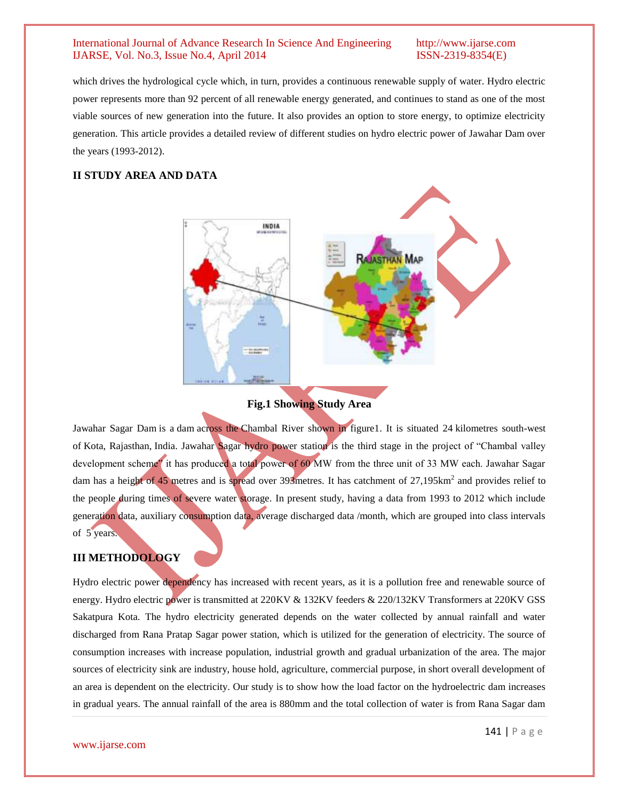which drives the hydrological cycle which, in turn, provides a continuous renewable supply of water. Hydro electric power represents more than 92 percent of all renewable energy generated, and continues to stand as one of the most viable sources of new generation into the future. It also provides an option to store energy, to optimize electricity generation. This article provides a detailed review of different studies on hydro electric power of Jawahar Dam over the years (1993-2012).

# **II STUDY AREA AND DATA**



**Fig.1 Showing Study Area**

Jawahar Sagar Dam is a [dam](http://en.wikipedia.org/wiki/Dam) across the [Chambal River](http://en.wikipedia.org/wiki/Chambal_River) shown in figure1. It is situated 24 kilometres south-west of [Kota, Rajasthan,](http://en.wikipedia.org/wiki/Kota,_Rajasthan) [India.](http://en.wikipedia.org/wiki/India) Jawahar Sagar hydro power station is the third stage in the project of "Chambal valley development scheme" it has produced a total power of 60 MW from the three unit of 33 MW each. Jawahar Sagar dam has a height of 45 metres and is spread over 393 metres. It has catchment of 27,195 km<sup>2</sup> and provides relief to the people during times of severe water storage. In present study, having a data from 1993 to 2012 which include generation data, auxiliary consumption data, average discharged data /month, which are grouped into class intervals of 5 years.

# **III METHODOLOGY**

Hydro electric power dependency has increased with recent years, as it is a pollution free and renewable source of energy. Hydro electric power is transmitted at 220KV & 132KV feeders & 220/132KV Transformers at 220KV GSS Sakatpura Kota. The hydro electricity generated depends on the water collected by annual rainfall and water discharged from Rana Pratap Sagar power station, which is utilized for the generation of electricity. The source of consumption increases with increase population, industrial growth and gradual urbanization of the area. The major sources of electricity sink are industry, house hold, agriculture, commercial purpose, in short overall development of an area is dependent on the electricity. Our study is to show how the load factor on the hydroelectric dam increases in gradual years. The annual rainfall of the area is 880mm and the total collection of water is from Rana Sagar dam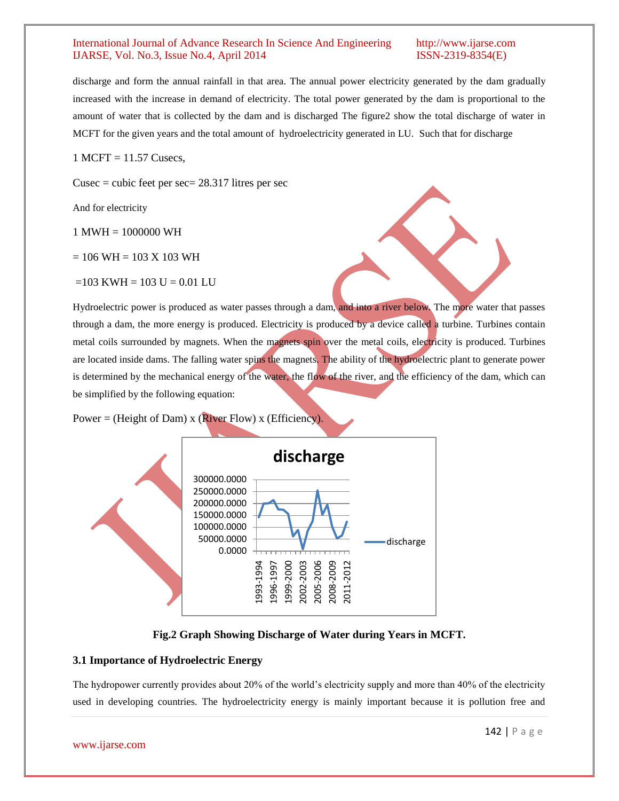discharge and form the annual rainfall in that area. The annual power electricity generated by the dam gradually increased with the increase in demand of electricity. The total power generated by the dam is proportional to the amount of water that is collected by the dam and is discharged The figure2 show the total discharge of water in MCFT for the given years and the total amount of hydroelectricity generated in LU. Such that for discharge

 $1$  MCFT = 11.57 Cusecs.

Cusec = cubic feet per sec =  $28.317$  litres per sec

And for electricity

1 MWH = 1000000 WH

 $= 106$  WH  $= 103$  X 103 WH

 $=103$  KWH  $= 103$  U  $= 0.01$  LU

Hydroelectric power is produced as water passes through a dam, and into a river below. The more water that passes through a dam, the more energy is produced. Electricity is produced by a device called a turbine. Turbines contain metal coils surrounded by magnets. When the magnets spin over the metal coils, electricity is produced. Turbines are located inside dams. The falling water spins the magnets. The ability of the hydroelectric plant to generate power is determined by the mechanical energy of the water, the flow of the river, and the efficiency of the dam, which can be simplified by the following equation:

Power = (Height of Dam) x (River Flow) x (Efficiency).



**Fig.2 Graph Showing Discharge of Water during Years in MCFT.**

# **3.1 Importance of Hydroelectric Energy**

The hydropower currently provides about 20% of the world's electricity supply and more than 40% of the electricity used in developing countries. The hydroelectricity energy is mainly important because it is pollution free and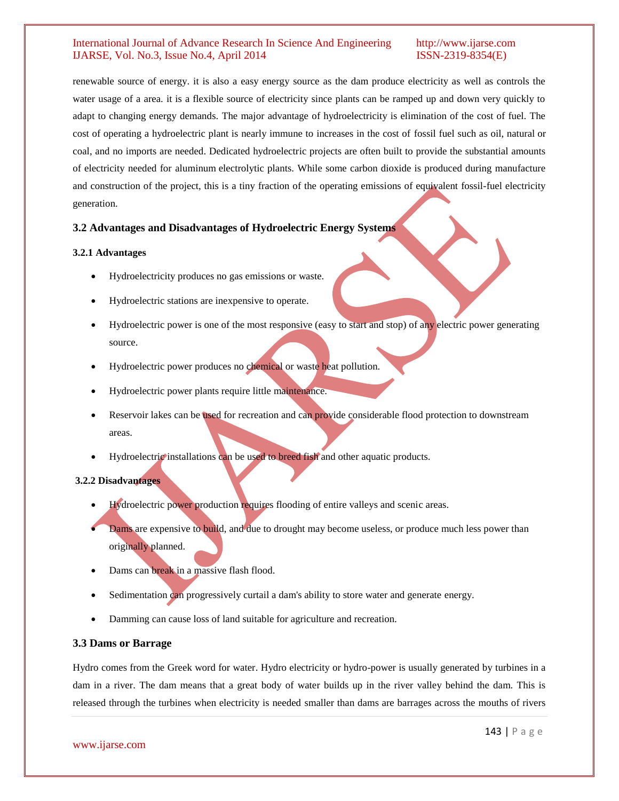renewable source of energy. it is also a easy energy source as the dam produce electricity as well as controls the water usage of a area. it is a flexible source of electricity since plants can be ramped up and down very quickly to adapt to changing energy demands. The major advantage of hydroelectricity is elimination of the cost of fuel. The cost of operating a hydroelectric plant is nearly immune to increases in the cost of fossil fuel such as oil, natural or coal, and no imports are needed. Dedicated hydroelectric projects are often built to provide the substantial amounts of electricity needed for aluminum electrolytic plants. While some carbon dioxide is produced during manufacture and construction of the project, this is a tiny fraction of the operating emissions of equivalent fossil-fuel electricity generation.

# **3.2 Advantages and Disadvantages of Hydroelectric Energy Systems**

### **3.2.1 Advantages**

- Hydroelectricity produces no gas emissions or waste.
- Hydroelectric stations are inexpensive to operate.
- Hydroelectric power is one of the most responsive (easy to start and stop) of any electric power generating source.
- Hydroelectric power produces no chemical or waste heat pollution.
- Hydroelectric power plants require little maintenance.
- Reservoir lakes can be used for recreation and can provide considerable flood protection to downstream areas.
- Hydroelectric installations can be used to breed fish and other aquatic products.

### **3.2.2 Disadvantages**

- Hydroelectric power production requires flooding of entire valleys and scenic areas.
- Dams are expensive to build, and due to drought may become useless, or produce much less power than originally planned.
- Dams can break in a massive flash flood.
- Sedimentation can progressively curtail a dam's ability to store water and generate energy.
- Damming can cause loss of land suitable for agriculture and recreation.

### **3.3 Dams or Barrage**

Hydro comes from the Greek word for water. Hydro electricity or hydro-power is usually generated by turbines in a dam in a river. The dam means that a great body of water builds up in the river valley behind the dam. This is released through the turbines when electricity is needed smaller than dams are barrages across the mouths of rivers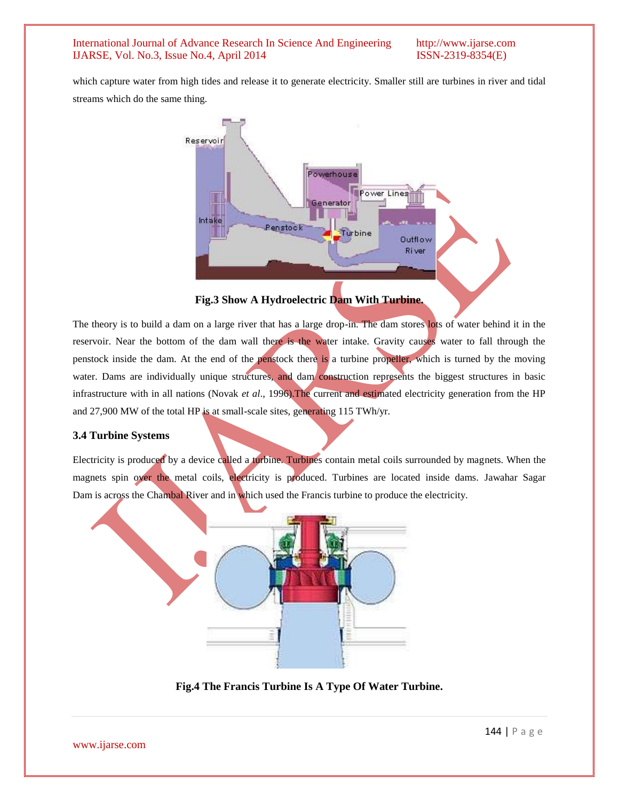which capture water from high tides and release it to generate electricity. Smaller still are turbines in river and tidal streams which do the same thing.



**Fig.3 Show A Hydroelectric Dam With Turbine.**

The theory is to build a dam on a large river that has a large drop-in. The dam stores lots of water behind it in the reservoir. Near the bottom of the dam wall there is the water intake. Gravity causes water to fall through the penstock inside the dam. At the end of the penstock there is a turbine propeller, which is turned by the moving water. Dams are individually unique structures, and dam construction represents the biggest structures in basic infrastructure with in all nations (Novak *et al*., 1996).The current and estimated electricity generation from the HP and 27,900 MW of the total HP is at small-scale sites, generating 115 TWh/yr.

# **3.4 Turbine Systems**

Electricity is produced by a device called a turbine. Turbines contain metal coils surrounded by magnets. When the magnets spin over the metal coils, electricity is produced. Turbines are located inside dams. Jawahar Sagar Dam is across the Chambal River and in which used the Francis turbine to produce the electricity.



**Fig.4 The Francis Turbine Is A Type Of Water Turbine.**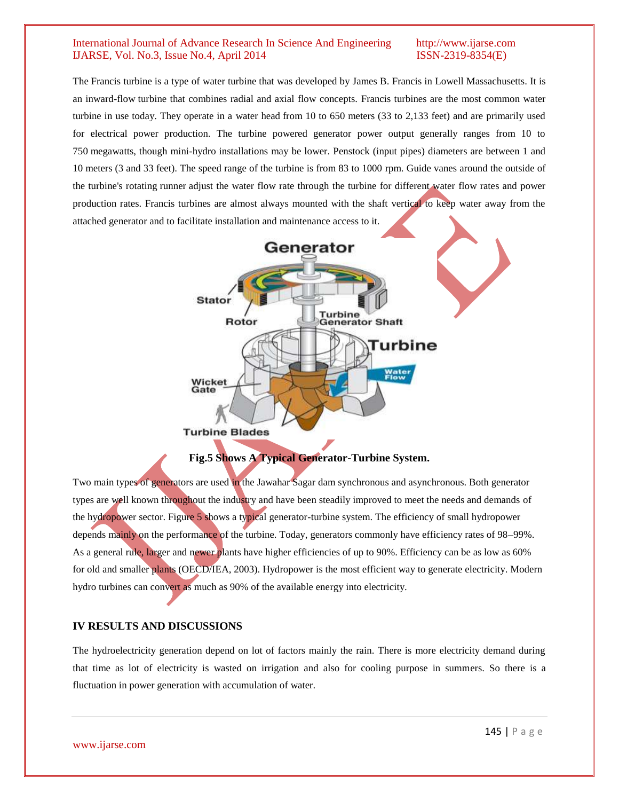The Francis turbine is a type of water turbine that was developed by James B. Francis in Lowell Massachusetts. It is an inward-flow turbine that combines radial and axial flow concepts. Francis turbines are the most common water turbine in use today. They operate in a water head from 10 to 650 meters (33 to 2,133 feet) and are primarily used for electrical power production. The turbine powered generator power output generally ranges from 10 to 750 megawatts, though mini-hydro installations may be lower. Penstock (input pipes) diameters are between 1 and 10 meters (3 and 33 feet). The speed range of the turbine is from 83 to 1000 rpm. Guide vanes around the outside of the turbine's rotating runner adjust the water flow rate through the turbine for different water flow rates and power production rates. Francis turbines are almost always mounted with the shaft vertical to keep water away from the attached generator and to facilitate installation and maintenance access to it.



# **Fig.5 Shows A Typical Generator-Turbine System.**

Two main types of generators are used in the Jawahar Sagar dam synchronous and asynchronous. Both generator types are well known throughout the industry and have been steadily improved to meet the needs and demands of the hydropower sector. Figure 5 shows a typical generator-turbine system. The efficiency of small hydropower depends mainly on the performance of the turbine. Today, generators commonly have efficiency rates of 98–99%. As a general rule, larger and newer plants have higher efficiencies of up to 90%. Efficiency can be as low as 60% for old and smaller plants (OECD/IEA, 2003). Hydropower is the most efficient way to generate electricity. Modern hydro turbines can convert as much as 90% of the available energy into electricity.

# **IV RESULTS AND DISCUSSIONS**

The hydroelectricity generation depend on lot of factors mainly the rain. There is more electricity demand during that time as lot of electricity is wasted on irrigation and also for cooling purpose in summers. So there is a fluctuation in power generation with accumulation of water.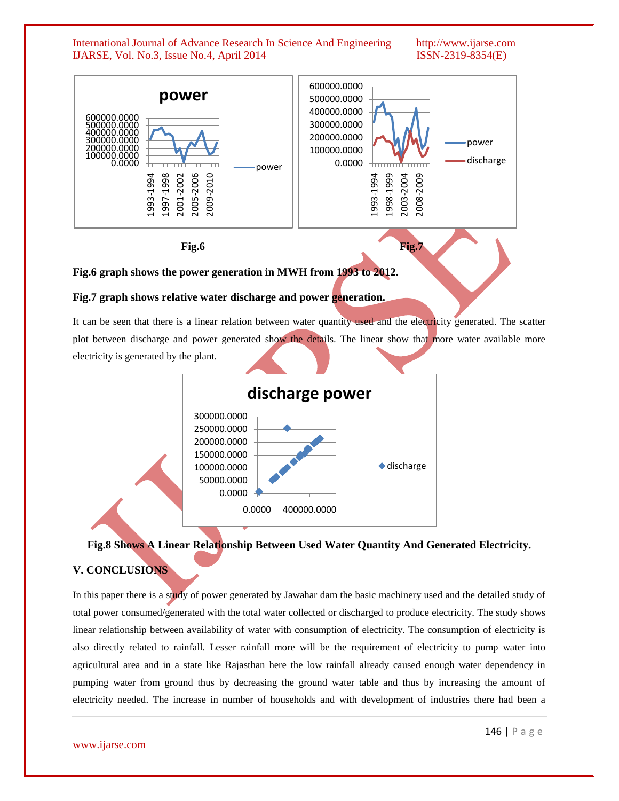

electricity is generated by the plant.





### **V. CONCLUSIONS**

In this paper there is a study of power generated by Jawahar dam the basic machinery used and the detailed study of total power consumed/generated with the total water collected or discharged to produce electricity. The study shows linear relationship between availability of water with consumption of electricity. The consumption of electricity is also directly related to rainfall. Lesser rainfall more will be the requirement of electricity to pump water into agricultural area and in a state like Rajasthan here the low rainfall already caused enough water dependency in pumping water from ground thus by decreasing the ground water table and thus by increasing the amount of electricity needed. The increase in number of households and with development of industries there had been a